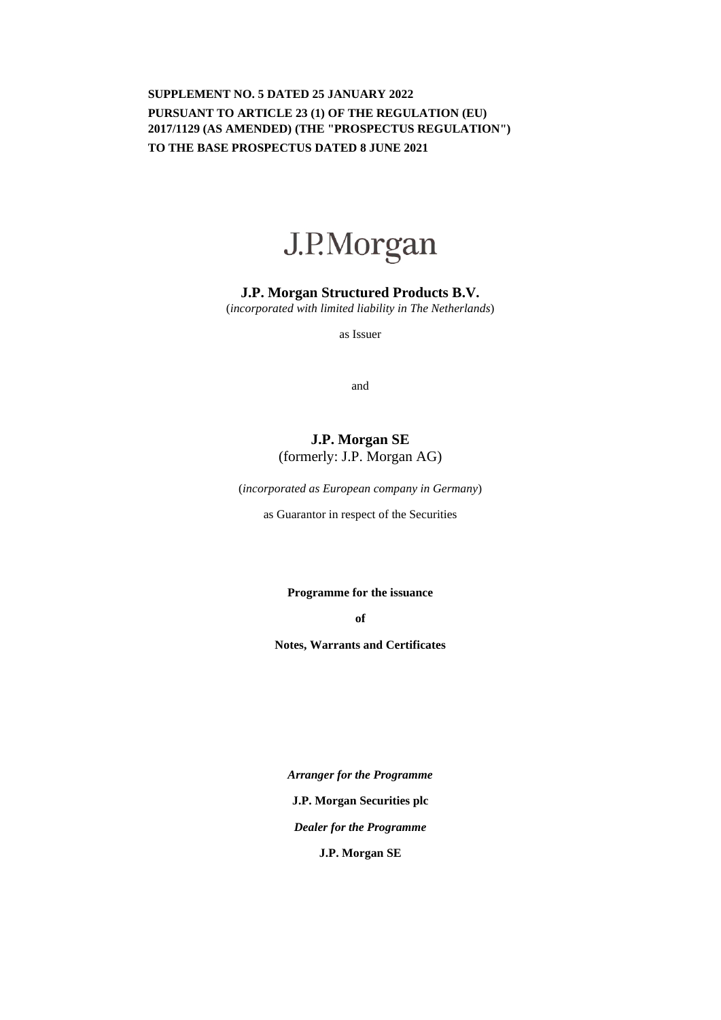# **SUPPLEMENT NO. 5 DATED 25 JANUARY 2022 PURSUANT TO ARTICLE 23 (1) OF THE REGULATION (EU) 2017/1129 (AS AMENDED) (THE "PROSPECTUS REGULATION") TO THE BASE PROSPECTUS DATED 8 JUNE 2021**



## **J.P. Morgan Structured Products B.V.**

(*incorporated with limited liability in The Netherlands*)

as Issuer

and

# **J.P. Morgan SE**  (formerly: J.P. Morgan AG)

(*incorporated as European company in Germany*)

as Guarantor in respect of the Securities

**Programme for the issuance** 

**of** 

**Notes, Warrants and Certificates** 

*Arranger for the Programme*  **J.P. Morgan Securities plc** *Dealer for the Programme*  **J.P. Morgan SE**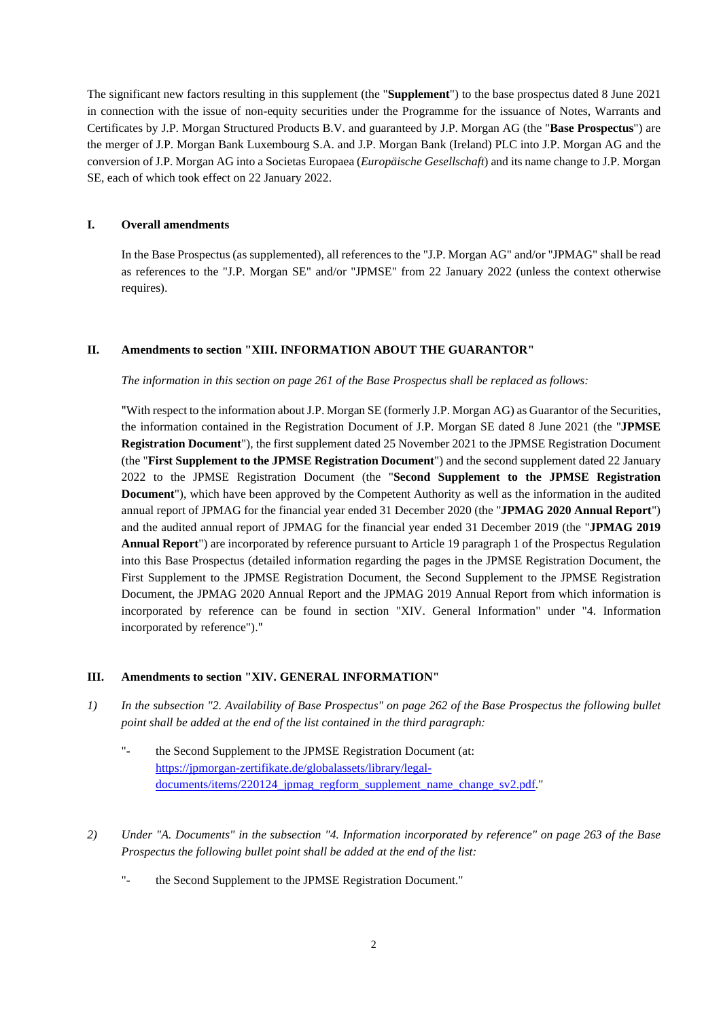The significant new factors resulting in this supplement (the "**Supplement**") to the base prospectus dated 8 June 2021 in connection with the issue of non-equity securities under the Programme for the issuance of Notes, Warrants and Certificates by J.P. Morgan Structured Products B.V. and guaranteed by J.P. Morgan AG (the "**Base Prospectus**") are the merger of J.P. Morgan Bank Luxembourg S.A. and J.P. Morgan Bank (Ireland) PLC into J.P. Morgan AG and the conversion of J.P. Morgan AG into a Societas Europaea (*Europäische Gesellschaft*) and its name change to J.P. Morgan SE, each of which took effect on 22 January 2022.

### **I. Overall amendments**

In the Base Prospectus (as supplemented), all references to the "J.P. Morgan AG" and/or "JPMAG" shall be read as references to the "J.P. Morgan SE" and/or "JPMSE" from 22 January 2022 (unless the context otherwise requires).

### **II. Amendments to section "XIII. INFORMATION ABOUT THE GUARANTOR"**

#### *The information in this section on page 261 of the Base Prospectus shall be replaced as follows:*

"With respect to the information about J.P. Morgan SE (formerly J.P. Morgan AG) as Guarantor of the Securities, the information contained in the Registration Document of J.P. Morgan SE dated 8 June 2021 (the "**JPMSE Registration Document**"), the first supplement dated 25 November 2021 to the JPMSE Registration Document (the "**First Supplement to the JPMSE Registration Document**") and the second supplement dated 22 January 2022 to the JPMSE Registration Document (the "**Second Supplement to the JPMSE Registration Document**"), which have been approved by the Competent Authority as well as the information in the audited annual report of JPMAG for the financial year ended 31 December 2020 (the "**JPMAG 2020 Annual Report**") and the audited annual report of JPMAG for the financial year ended 31 December 2019 (the "**JPMAG 2019 Annual Report**") are incorporated by reference pursuant to Article 19 paragraph 1 of the Prospectus Regulation into this Base Prospectus (detailed information regarding the pages in the JPMSE Registration Document, the First Supplement to the JPMSE Registration Document, the Second Supplement to the JPMSE Registration Document, the JPMAG 2020 Annual Report and the JPMAG 2019 Annual Report from which information is incorporated by reference can be found in section "XIV. General Information" under "4. Information incorporated by reference")."

#### **III. Amendments to section "XIV. GENERAL INFORMATION"**

- *1) In the subsection "2. Availability of Base Prospectus" on page 262 of the Base Prospectus the following bullet point shall be added at the end of the list contained in the third paragraph:* 
	- "- the Second Supplement to the JPMSE Registration Document (at: [https://jpmorgan-zertifikate.de/globalassets/library/legal](https://jpmorgan-zertifikate.de/globalassets/library/legal-documents/items/220124_jpmag_regform_supplement_name_change_sv2.pdf)documents/items/220124\_jpmag\_regform\_supplement\_name\_change\_sv2.pdf."
- *2) Under "A. Documents" in the subsection "4. Information incorporated by reference" on page 263 of the Base Prospectus the following bullet point shall be added at the end of the list:* 
	- "- the Second Supplement to the JPMSE Registration Document."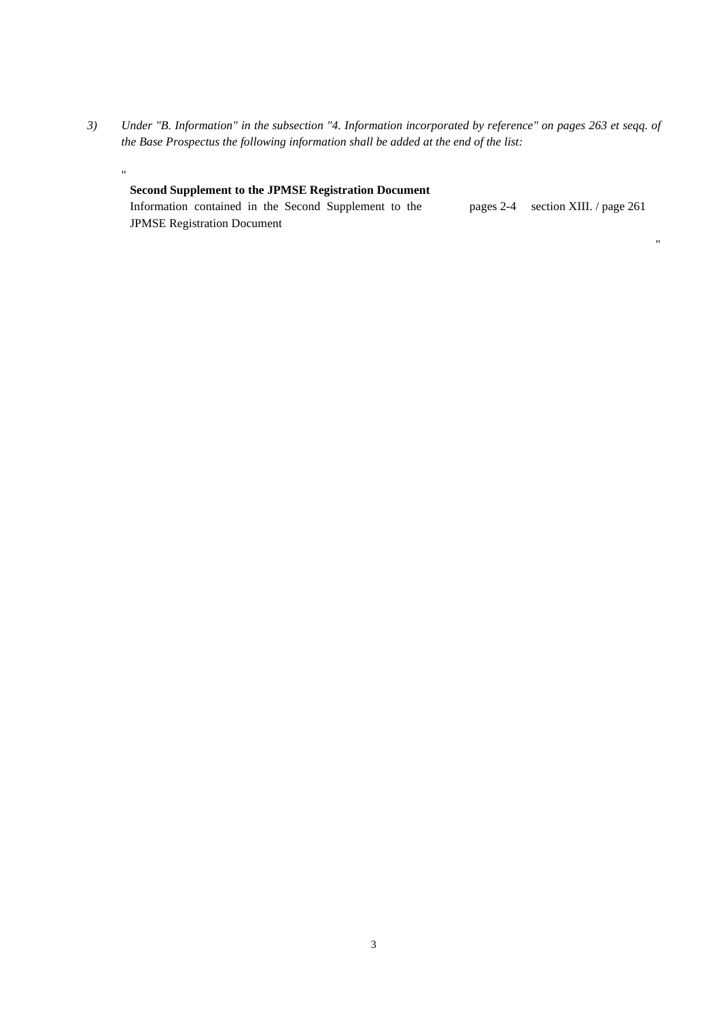*3) Under "B. Information" in the subsection "4. Information incorporated by reference" on pages 263 et seqq. of the Base Prospectus the following information shall be added at the end of the list:* 

"

#### **Second Supplement to the JPMSE Registration Document** Information contained in the Second Supplement to the JPMSE Registration Document pages 2-4 section XIII. / page 261

"